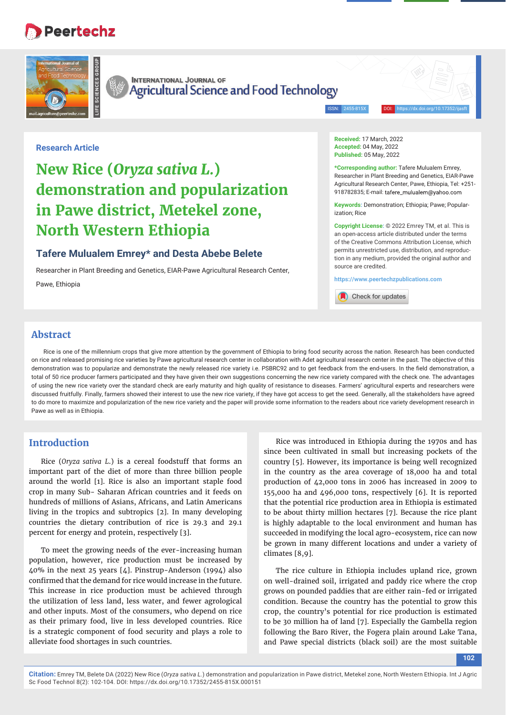# **Peertechz**



**INTERNATIONAL JOURNAL OF** Agricultural Science and Food Technology

ISSN: 2455-815X DOI: https://dx.doi.org/10.17352/ijasft

#### **Research Article**

# **New Rice (***Oryza sativa L.***) demonstration and popularization in Pawe district, Metekel zone, North Western Ethiopia**

## **Tafere Mulualem Emrey\* and Desta Abebe Belete**

Researcher in Plant Breeding and Genetics, EIAR-Pawe Agricultural Research Center, Pawe, Ethiopia

**Received:** 17 March, 2022 **Accepted:** 04 May, 2022 **Published:** 05 May, 2022

**\*Corresponding author:** Tafere Mulualem Emrey, Researcher in Plant Breeding and Genetics, EIAR-Pawe Agricultural Research Center, Pawe, Ethiopia, Tel: +251- 918782835; E-mail: tafere\_mulualem@yahoo.com

**Keywords:** Demonstration; Ethiopia; Pawe; Popularization; Rice

**Copyright License:** © 2022 Emrey TM, et al. This is an open-access article distributed under the terms of the Creative Commons Attribution License, which permits unrestricted use, distribution, and reproduction in any medium, provided the original author and source are credited.

**https://www.peertechzpublications.com**

Check for updates

## **Abstract**

Rice is one of the millennium crops that give more attention by the government of Ethiopia to bring food security across the nation. Research has been conducted on rice and released promising rice varieties by Pawe agricultural research center in collaboration with Adet agricultural research center in the past. The objective of this demonstration was to popularize and demonstrate the newly released rice variety i.e. PSBRC92 and to get feedback from the end-users. In the field demonstration, a total of 50 rice producer farmers participated and they have given their own suggestions concerning the new rice variety compared with the check one. The advantages of using the new rice variety over the standard check are early maturity and high quality of resistance to diseases. Farmers' agricultural experts and researchers were discussed fruitfully. Finally, farmers showed their interest to use the new rice variety, if they have got access to get the seed. Generally, all the stakeholders have agreed to do more to maximize and popularization of the new rice variety and the paper will provide some information to the readers about rice variety development research in Pawe as well as in Ethiopia.

## **Introduction**

Rice (*Oryza sativa L*.) is a cereal foodstuff that forms an important part of the diet of more than three billion people around the world [1]. Rice is also an important staple food crop in many Sub- Saharan African countries and it feeds on hundreds of millions of Asians, Africans, and Latin Americans living in the tropics and subtropics [2]. In many developing countries the dietary contribution of rice is 29.3 and 29.1 percent for energy and protein, respectively [3].

To meet the growing needs of the ever-increasing human population, however, rice production must be increased by 40% in the next 25 years [4]. Pinstrup-Anderson (1994) also confirmed that the demand for rice would increase in the future. This increase in rice production must be achieved through the utilization of less land, less water, and fewer agrological and other inputs. Most of the consumers, who depend on rice as their primary food, live in less developed countries. Rice is a strategic component of food security and plays a role to alleviate food shortages in such countries.

Rice was introduced in Ethiopia during the 1970s and has since been cultivated in small but increasing pockets of the country [5]. However, its importance is being well recognized in the country as the area coverage of 18,000 ha and total production of 42,000 tons in 2006 has increased in 2009 to 155,000 ha and 496,000 tons, respectively [6]. It is reported that the potential rice production area in Ethiopia is estimated to be about thirty million hectares [7]. Because the rice plant is highly adaptable to the local environment and human has succeeded in modifying the local agro-ecosystem, rice can now be grown in many different locations and under a variety of climates [8,9].

The rice culture in Ethiopia includes upland rice, grown on well-drained soil, irrigated and paddy rice where the crop grows on pounded paddies that are either rain-fed or irrigated condition. Because the country has the potential to grow this crop, the country's potential for rice production is estimated to be 30 million ha of land [7]. Especially the Gambella region following the Baro River, the Fogera plain around Lake Tana, and Pawe special districts (black soil) are the most suitable

**102**

**Citation:** Emrey TM, Belete DA (2022) New Rice (*Oryza sativa L.*) demonstration and popularization in Pawe district, Metekel zone, North Western Ethiopia. Int J Agric Sc Food Technol 8(2): 102-104. DOI: https://dx.doi.org/10.17352/2455-815X.000151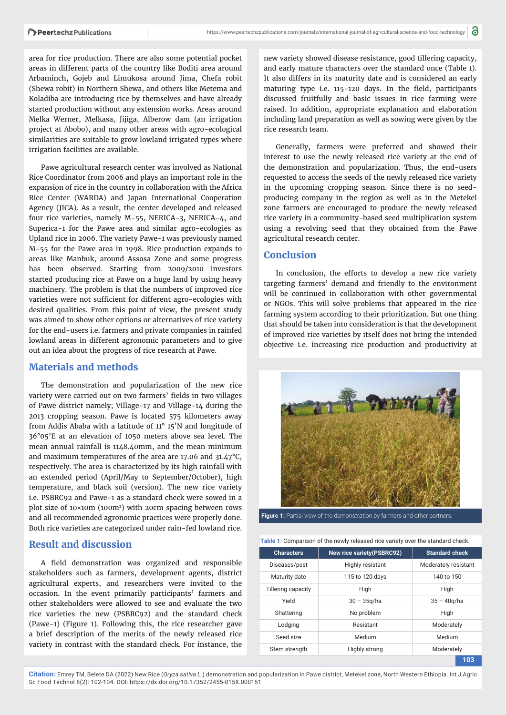area for rice production. There are also some potential pocket areas in different parts of the country like Boditi area around Arbaminch, Gojeb and Limukosa around Jima, Chefa robit (Shewa robit) in Northern Shewa, and others like Metema and Koladiba are introducing rice by themselves and have already started production without any extension works. Areas around Melka Werner, Melkasa, Jijiga, Alberow dam (an irrigation project at Abobo), and many other areas with agro-ecological similarities are suitable to grow lowland irrigated types where irrigation facilities are available.

Pawe agricultural research center was involved as National Rice Coordinator from 2006 and plays an important role in the expansion of rice in the country in collaboration with the Africa Rice Center (WARDA) and Japan International Cooperation Agency (JICA). As a result, the center developed and released four rice varieties, namely M-55, NERICA-3, NERICA-4, and Superica-1 for the Pawe area and similar agro-ecologies as Upland rice in 2006. The variety Pawe-1 was previously named M-55 for the Pawe area in 1998. Rice production expands to areas like Manbuk, around Assosa Zone and some progress has been observed. Starting from 2009/2010 investors started producing rice at Pawe on a huge land by using heavy machinery. The problem is that the numbers of improved rice varieties were not sufficient for different agro-ecologies with desired qualities. From this point of view, the present study was aimed to show other options or alternatives of rice variety for the end-users i.e. farmers and private companies in rainfed lowland areas in different agronomic parameters and to give out an idea about the progress of rice research at Pawe.

#### **Materials and methods**

The demonstration and popularization of the new rice variety were carried out on two farmers' fields in two villages of Pawe district namely; Village-17 and Village-14 during the 2013 cropping season. Pawe is located 575 kilometers away from Addis Ababa with a latitude of 11° 15′N and longitude of 36°05'E at an elevation of 1050 meters above sea level. The mean annual rainfall is 1148.40mm, and the mean minimum and maximum temperatures of the area are 17.06 and 31.47°C, respectively. The area is characterized by its high rainfall with an extended period (April/May to September/October), high temperature, and black soil (version). The new rice variety i.e. PSBRC92 and Pawe-1 as a standard check were sowed in a plot size of 10×10m (100m2) with 20cm spacing between rows and all recommended agronomic practices were properly done. Both rice varieties are categorized under rain-fed lowland rice.

## **Result and discussion**

A field demonstration was organized and responsible stakeholders such as farmers, development agents, district agricultural experts, and researchers were invited to the occasion. In the event primarily participants' farmers and other stakeholders were allowed to see and evaluate the two rice varieties the new (PSBRC92) and the standard check (Pawe-1) (Figure 1). Following this, the rice researcher gave a brief description of the merits of the newly released rice variety in contrast with the standard check. For instance, the

new variety showed disease resistance, good tillering capacity, and early mature characters over the standard once (Table 1). It also differs in its maturity date and is considered an early maturing type i.e. 115-120 days. In the field, participants discussed fruitfully and basic issues in rice farming were raised. In addition, appropriate explanation and elaboration including land preparation as well as sowing were given by the rice research team.

Generally, farmers were preferred and showed their interest to use the newly released rice variety at the end of the demonstration and popularization. Thus, the end-users requested to access the seeds of the newly released rice variety in the upcoming cropping season. Since there is no seedproducing company in the region as well as in the Metekel zone farmers are encouraged to produce the newly released rice variety in a community-based seed multiplication system using a revolving seed that they obtained from the Pawe agricultural research center.

#### **Conclusion**

In conclusion, the efforts to develop a new rice variety targeting farmers' demand and friendly to the environment will be continued in collaboration with other governmental or NGOs. This will solve problems that appeared in the rice farming system according to their prioritization. But one thing that should be taken into consideration is that the development of improved rice varieties by itself does not bring the intended objective i.e. increasing rice production and productivity at



**Figure 1:** Partial view of the demonstration by farmers and other partners

|  |  |  | Table 1: Comparison of the newly released rice variety over the standard check. |
|--|--|--|---------------------------------------------------------------------------------|
|  |  |  |                                                                                 |

| <b>Characters</b>  | <b>New rice variety (PSBRC92)</b> | <b>Standard check</b> |  |
|--------------------|-----------------------------------|-----------------------|--|
| Diseases/pest      | Highly resistant                  | Moderately resistant  |  |
| Maturity date      | 115 to 120 days                   | 140 to 150            |  |
| Tillering capacity | High                              | High                  |  |
| Yield              | $30 - 35q/ha$                     | $35 - 40q/ha$         |  |
| Shattering         | No problem                        | High                  |  |
| Lodging            | Resistant                         | Moderately            |  |
| Seed size          | Medium                            | Medium                |  |
| Stem strength      | Highly strong                     | Moderately            |  |
|                    |                                   | 103                   |  |

**Citation:** Emrey TM, Belete DA (2022) New Rice (*Oryza sativa L.*) demonstration and popularization in Pawe district, Metekel zone, North Western Ethiopia. Int J Agric Sc Food Technol 8(2): 102-104. DOI: https://dx.doi.org/10.17352/2455-815X.000151